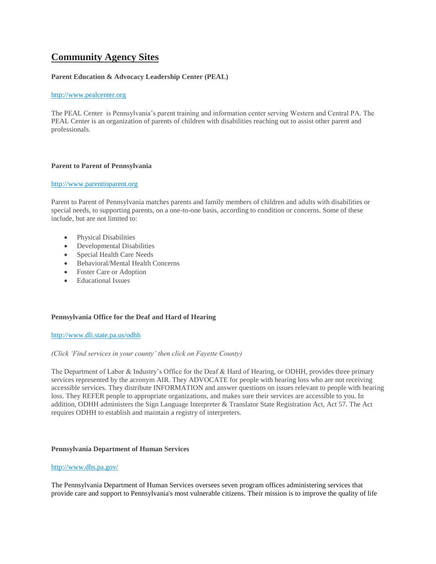# **[Community](http://uasdraiders.org/community-agency-sites/) Agency Sites**

# **Parent Education & Advocacy Leadership Center (PEAL)**

#### [http://www.pealcenter.org](http://www.pealcenter.org/)

The PEAL Center is Pennsylvania's parent training and information center serving Western and Central PA. The PEAL Center is an organization of parents of children with disabilities reaching out to assist other parent and professionals.

#### **Parent to Parent of Pennsylvania**

#### [http://www.parenttoparent.org](http://www.parenttoparent.org/)

Parent to Parent of Pennsylvania matches parents and family members of children and adults with disabilities or special needs, to supporting parents, on a one-to-one basis, according to condition or concerns. Some of these include, but are not limited to:

- Physical Disabilities
- Developmental Disabilities
- Special Health Care Needs
- Behavioral/Mental Health Concerns
- Foster Care or Adoption
- Educational Issues

# **Pennsylvania Office for the Deaf and Hard of Hearing**

#### <http://www.dli.state.pa.us/odhh>

#### *(Click 'Find services in your county' then click on Fayette County)*

The Department of Labor & Industry's Office for the Deaf & Hard of Hearing, or ODHH, provides three primary services represented by the acronym AIR. They ADVOCATE for people with hearing loss who are not receiving accessible services. They distribute INFORMATION and answer questions on issues relevant to people with hearing loss. They REFER people to appropriate organizations, and makes sure their services are accessible to you. In addition, ODHH administers the Sign Language Interpreter & Translator State Registration Act, Act 57. The Act requires ODHH to establish and maintain a registry of interpreters.

#### **Pennsylvania Department of Human Services**

#### <http://www.dhs.pa.gov/>

The Pennsylvania Department of Human Services oversees seven program offices administering services that provide care and support to Pennsylvania's most vulnerable citizens. Their mission is to improve the quality of life